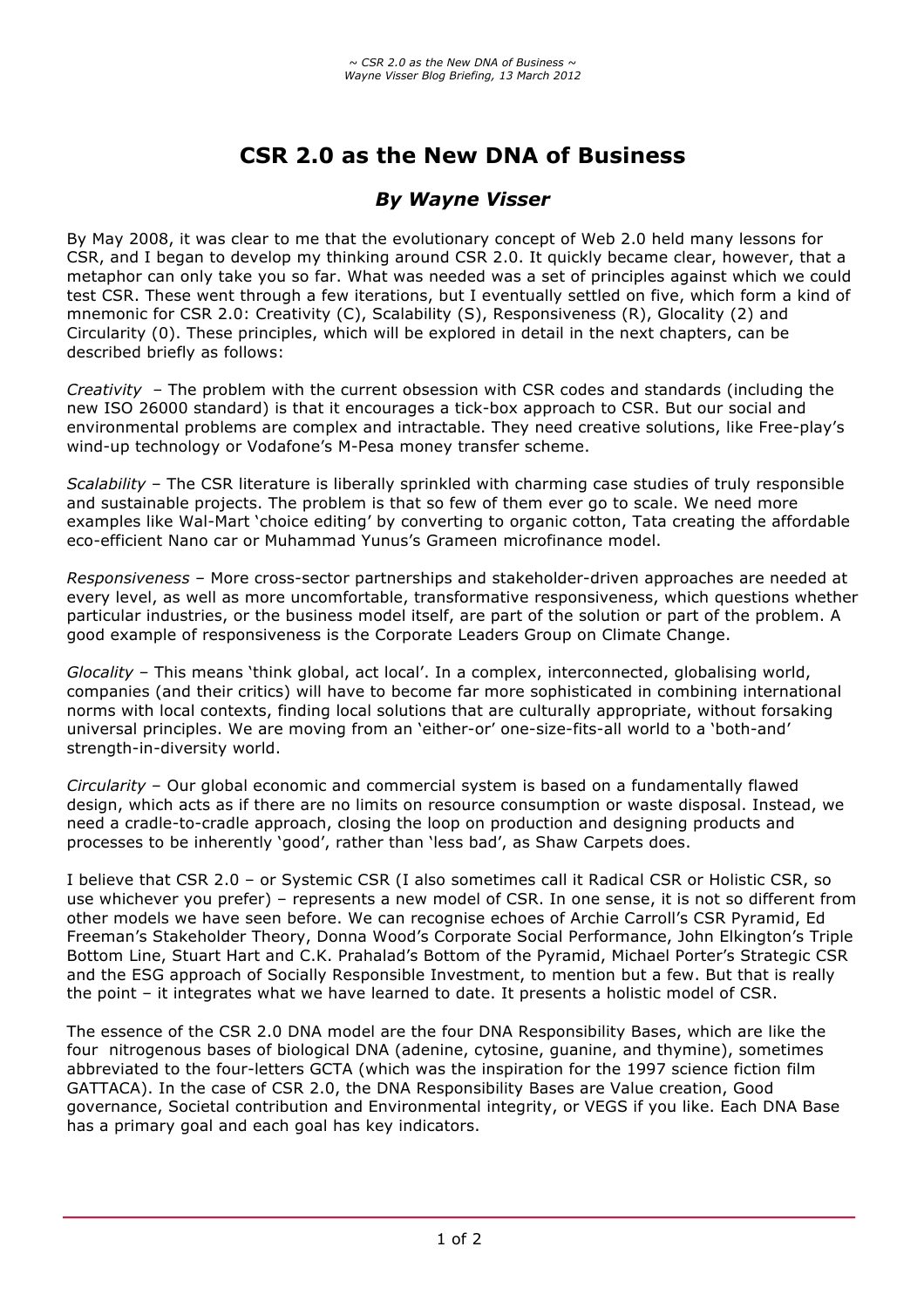# **CSR 2.0 as the New DNA of Business**

## *By Wayne Visser*

By May 2008, it was clear to me that the evolutionary concept of Web 2.0 held many lessons for CSR, and I began to develop my thinking around CSR 2.0. It quickly became clear, however, that a metaphor can only take you so far. What was needed was a set of principles against which we could test CSR. These went through a few iterations, but I eventually settled on five, which form a kind of mnemonic for CSR 2.0: Creativity (C), Scalability (S), Responsiveness (R), Glocality (2) and Circularity (0). These principles, which will be explored in detail in the next chapters, can be described briefly as follows:

*Creativity* – The problem with the current obsession with CSR codes and standards (including the new ISO 26000 standard) is that it encourages a tick-box approach to CSR. But our social and environmental problems are complex and intractable. They need creative solutions, like Free-play's wind-up technology or Vodafone's M-Pesa money transfer scheme.

*Scalability* – The CSR literature is liberally sprinkled with charming case studies of truly responsible and sustainable projects. The problem is that so few of them ever go to scale. We need more examples like Wal-Mart 'choice editing' by converting to organic cotton, Tata creating the affordable eco-efficient Nano car or Muhammad Yunus's Grameen microfinance model.

*Responsiveness* – More cross-sector partnerships and stakeholder-driven approaches are needed at every level, as well as more uncomfortable, transformative responsiveness, which questions whether particular industries, or the business model itself, are part of the solution or part of the problem. A good example of responsiveness is the Corporate Leaders Group on Climate Change.

*Glocality* – This means 'think global, act local'. In a complex, interconnected, globalising world, companies (and their critics) will have to become far more sophisticated in combining international norms with local contexts, finding local solutions that are culturally appropriate, without forsaking universal principles. We are moving from an 'either-or' one-size-fits-all world to a 'both-and' strength-in-diversity world.

*Circularity* – Our global economic and commercial system is based on a fundamentally flawed design, which acts as if there are no limits on resource consumption or waste disposal. Instead, we need a cradle-to-cradle approach, closing the loop on production and designing products and processes to be inherently 'good', rather than 'less bad', as Shaw Carpets does.

I believe that CSR 2.0 – or Systemic CSR (I also sometimes call it Radical CSR or Holistic CSR, so use whichever you prefer) – represents a new model of CSR. In one sense, it is not so different from other models we have seen before. We can recognise echoes of Archie Carroll's CSR Pyramid, Ed Freeman's Stakeholder Theory, Donna Wood's Corporate Social Performance, John Elkington's Triple Bottom Line, Stuart Hart and C.K. Prahalad's Bottom of the Pyramid, Michael Porter's Strategic CSR and the ESG approach of Socially Responsible Investment, to mention but a few. But that is really the point – it integrates what we have learned to date. It presents a holistic model of CSR.

The essence of the CSR 2.0 DNA model are the four DNA Responsibility Bases, which are like the four nitrogenous bases of biological DNA (adenine, cytosine, guanine, and thymine), sometimes abbreviated to the four-letters GCTA (which was the inspiration for the 1997 science fiction film GATTACA). In the case of CSR 2.0, the DNA Responsibility Bases are Value creation, Good governance, Societal contribution and Environmental integrity, or VEGS if you like. Each DNA Base has a primary goal and each goal has key indicators.